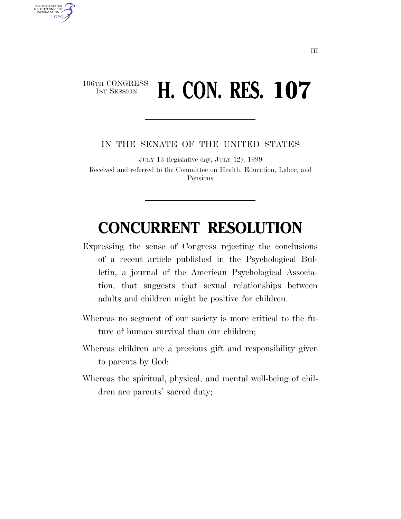## 106TH CONGRESS **1st Session H. CON. RES. 107**

U.S. GOVERNMENT **GPO** 

IN THE SENATE OF THE UNITED STATES

JULY 13 (legislative day, JULY 12), 1999 Received and referred to the Committee on Health, Education, Labor, and Pensions

## **CONCURRENT RESOLUTION**

- Expressing the sense of Congress rejecting the conclusions of a recent article published in the Psychological Bulletin, a journal of the American Psychological Association, that suggests that sexual relationships between adults and children might be positive for children.
- Whereas no segment of our society is more critical to the future of human survival than our children;
- Whereas children are a precious gift and responsibility given to parents by God;
- Whereas the spiritual, physical, and mental well-being of children are parents' sacred duty;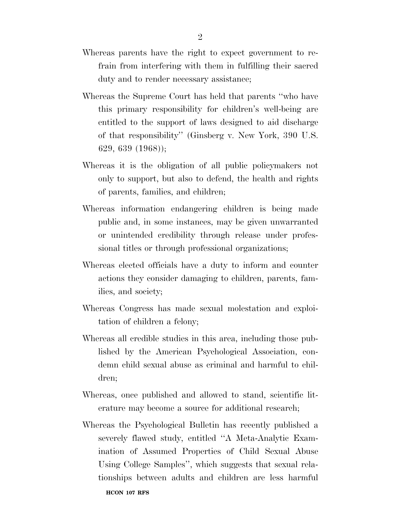- Whereas parents have the right to expect government to refrain from interfering with them in fulfilling their sacred duty and to render necessary assistance;
- Whereas the Supreme Court has held that parents ''who have this primary responsibility for children's well-being are entitled to the support of laws designed to aid discharge of that responsibility'' (Ginsberg v. New York, 390 U.S. 629, 639 (1968));
- Whereas it is the obligation of all public policymakers not only to support, but also to defend, the health and rights of parents, families, and children;
- Whereas information endangering children is being made public and, in some instances, may be given unwarranted or unintended credibility through release under professional titles or through professional organizations;
- Whereas elected officials have a duty to inform and counter actions they consider damaging to children, parents, families, and society;
- Whereas Congress has made sexual molestation and exploitation of children a felony;
- Whereas all credible studies in this area, including those published by the American Psychological Association, condemn child sexual abuse as criminal and harmful to children;
- Whereas, once published and allowed to stand, scientific literature may become a source for additional research;
- Whereas the Psychological Bulletin has recently published a severely flawed study, entitled ''A Meta-Analytic Examination of Assumed Properties of Child Sexual Abuse Using College Samples'', which suggests that sexual relationships between adults and children are less harmful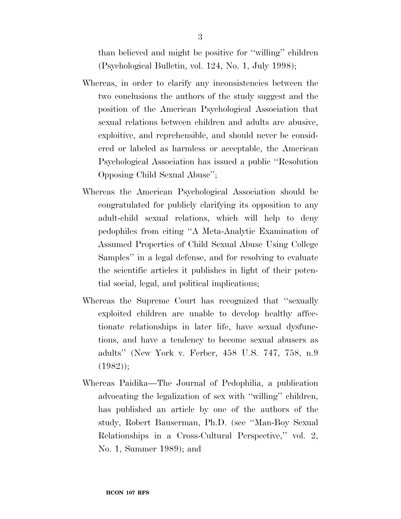than believed and might be positive for ''willing'' children (Psychological Bulletin, vol. 124, No. 1, July 1998);

- Whereas, in order to clarify any inconsistencies between the two conclusions the authors of the study suggest and the position of the American Psychological Association that sexual relations between children and adults are abusive, exploitive, and reprehensible, and should never be considered or labeled as harmless or acceptable, the American Psychological Association has issued a public ''Resolution Opposing Child Sexual Abuse'';
- Whereas the American Psychological Association should be congratulated for publicly clarifying its opposition to any adult-child sexual relations, which will help to deny pedophiles from citing ''A Meta-Analytic Examination of Assumed Properties of Child Sexual Abuse Using College Samples'' in a legal defense, and for resolving to evaluate the scientific articles it publishes in light of their potential social, legal, and political implications;
- Whereas the Supreme Court has recognized that ''sexually exploited children are unable to develop healthy affectionate relationships in later life, have sexual dysfunctions, and have a tendency to become sexual abusers as adults'' (New York v. Ferber, 458 U.S. 747, 758, n.9 (1982));
- Whereas Paidika—The Journal of Pedophilia, a publication advocating the legalization of sex with ''willing'' children, has published an article by one of the authors of the study, Robert Bauserman, Ph.D. (see ''Man-Boy Sexual Relationships in a Cross-Cultural Perspective," vol. 2, No. 1, Summer 1989); and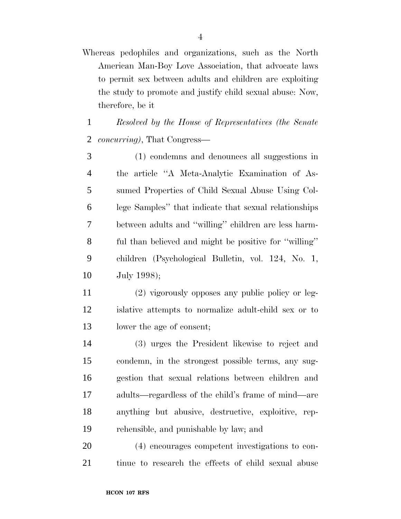Whereas pedophiles and organizations, such as the North American Man-Boy Love Association, that advocate laws to permit sex between adults and children are exploiting the study to promote and justify child sexual abuse: Now, therefore, be it

 *Resolved by the House of Representatives (the Senate concurring)*, That Congress—

 (1) condemns and denounces all suggestions in the article ''A Meta-Analytic Examination of As- sumed Properties of Child Sexual Abuse Using Col- lege Samples'' that indicate that sexual relationships between adults and ''willing'' children are less harm- ful than believed and might be positive for ''willing'' children (Psychological Bulletin, vol. 124, No. 1, July 1998);

 (2) vigorously opposes any public policy or leg- islative attempts to normalize adult-child sex or to lower the age of consent;

 (3) urges the President likewise to reject and condemn, in the strongest possible terms, any sug- gestion that sexual relations between children and adults—regardless of the child's frame of mind—are anything but abusive, destructive, exploitive, rep-rehensible, and punishable by law; and

 (4) encourages competent investigations to con-tinue to research the effects of child sexual abuse